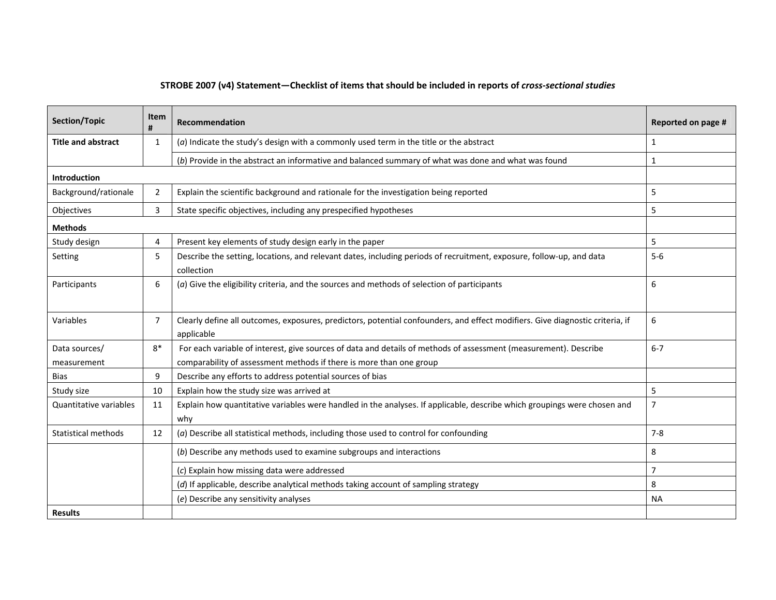| Section/Topic             | Item<br>#      | Recommendation                                                                                                                              | Reported on page # |  |
|---------------------------|----------------|---------------------------------------------------------------------------------------------------------------------------------------------|--------------------|--|
| <b>Title and abstract</b> | $\mathbf{1}$   | $(a)$ Indicate the study's design with a commonly used term in the title or the abstract                                                    | $\mathbf{1}$       |  |
|                           |                | (b) Provide in the abstract an informative and balanced summary of what was done and what was found                                         | $\mathbf{1}$       |  |
| <b>Introduction</b>       |                |                                                                                                                                             |                    |  |
| Background/rationale      | 2              | Explain the scientific background and rationale for the investigation being reported                                                        | 5                  |  |
| Objectives                | $\overline{3}$ | State specific objectives, including any prespecified hypotheses                                                                            | 5                  |  |
| <b>Methods</b>            |                |                                                                                                                                             |                    |  |
| Study design              | 4              | Present key elements of study design early in the paper                                                                                     | 5                  |  |
| Setting                   | 5              | Describe the setting, locations, and relevant dates, including periods of recruitment, exposure, follow-up, and data<br>collection          | $5-6$              |  |
| Participants              | 6              | $(a)$ Give the eligibility criteria, and the sources and methods of selection of participants                                               | 6                  |  |
| Variables                 | $\overline{7}$ | Clearly define all outcomes, exposures, predictors, potential confounders, and effect modifiers. Give diagnostic criteria, if<br>applicable | 6                  |  |
| Data sources/             | $8*$           | For each variable of interest, give sources of data and details of methods of assessment (measurement). Describe                            | $6 - 7$            |  |
| measurement               |                | comparability of assessment methods if there is more than one group                                                                         |                    |  |
| Bias                      | 9              | Describe any efforts to address potential sources of bias                                                                                   |                    |  |
| Study size                | 10             | Explain how the study size was arrived at                                                                                                   | 5                  |  |
| Quantitative variables    | 11             | Explain how quantitative variables were handled in the analyses. If applicable, describe which groupings were chosen and<br>why             | $\overline{7}$     |  |
| Statistical methods       | 12             | (a) Describe all statistical methods, including those used to control for confounding                                                       | $7 - 8$            |  |
|                           |                | (b) Describe any methods used to examine subgroups and interactions                                                                         | 8                  |  |
|                           |                | (c) Explain how missing data were addressed                                                                                                 | $\overline{7}$     |  |
|                           |                | (d) If applicable, describe analytical methods taking account of sampling strategy                                                          | 8                  |  |
|                           |                | (e) Describe any sensitivity analyses                                                                                                       | <b>NA</b>          |  |
| <b>Results</b>            |                |                                                                                                                                             |                    |  |

## STROBE 2007 (v4) Statement—Checklist of items that should be included in reports of *cross-sectional studies*